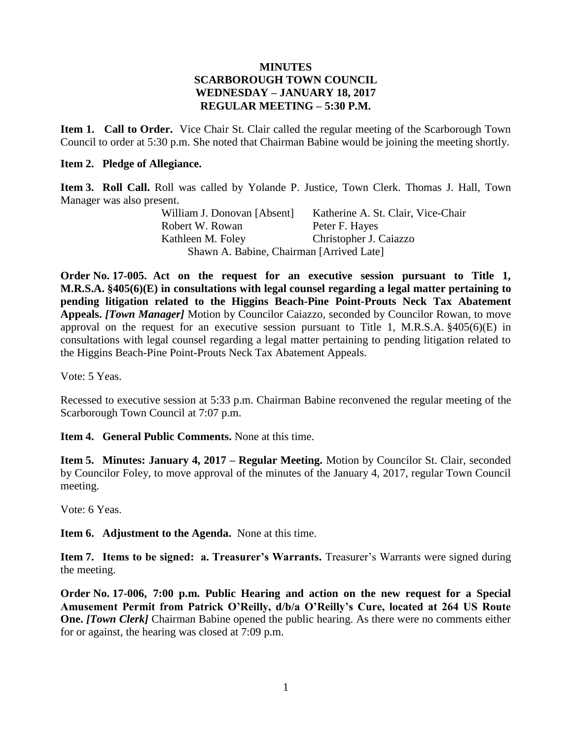### **MINUTES SCARBOROUGH TOWN COUNCIL WEDNESDAY – JANUARY 18, 2017 REGULAR MEETING – 5:30 P.M.**

**Item 1. Call to Order.** Vice Chair St. Clair called the regular meeting of the Scarborough Town Council to order at 5:30 p.m. She noted that Chairman Babine would be joining the meeting shortly.

#### **Item 2. Pledge of Allegiance.**

**Item 3. Roll Call.** Roll was called by Yolande P. Justice, Town Clerk. Thomas J. Hall, Town Manager was also present.

| William J. Donovan [Absent]              | Katherine A. St. Clair, Vice-Chair |
|------------------------------------------|------------------------------------|
| Robert W. Rowan                          | Peter F. Hayes                     |
| Kathleen M. Foley                        | Christopher J. Caiazzo             |
| Shawn A. Babine, Chairman [Arrived Late] |                                    |

**Order No. 17-005. Act on the request for an executive session pursuant to Title 1, M.R.S.A. §405(6)(E) in consultations with legal counsel regarding a legal matter pertaining to pending litigation related to the Higgins Beach-Pine Point-Prouts Neck Tax Abatement Appeals.** *[Town Manager]* Motion by Councilor Caiazzo, seconded by Councilor Rowan, to move approval on the request for an executive session pursuant to Title 1, M.R.S.A.  $\S405(6)$  (E) in consultations with legal counsel regarding a legal matter pertaining to pending litigation related to the Higgins Beach-Pine Point-Prouts Neck Tax Abatement Appeals.

Vote: 5 Yeas.

Recessed to executive session at 5:33 p.m. Chairman Babine reconvened the regular meeting of the Scarborough Town Council at 7:07 p.m.

**Item 4. General Public Comments.** None at this time.

**Item 5. Minutes: January 4, 2017 – Regular Meeting.** Motion by Councilor St. Clair, seconded by Councilor Foley, to move approval of the minutes of the January 4, 2017, regular Town Council meeting.

Vote: 6 Yeas.

**Item 6. Adjustment to the Agenda.** None at this time.

**Item 7. Items to be signed: a. Treasurer's Warrants.** Treasurer's Warrants were signed during the meeting.

**Order No. 17-006, 7:00 p.m. Public Hearing and action on the new request for a Special Amusement Permit from Patrick O'Reilly, d/b/a O'Reilly's Cure, located at 264 US Route One.** *[Town Clerk]* Chairman Babine opened the public hearing. As there were no comments either for or against, the hearing was closed at 7:09 p.m.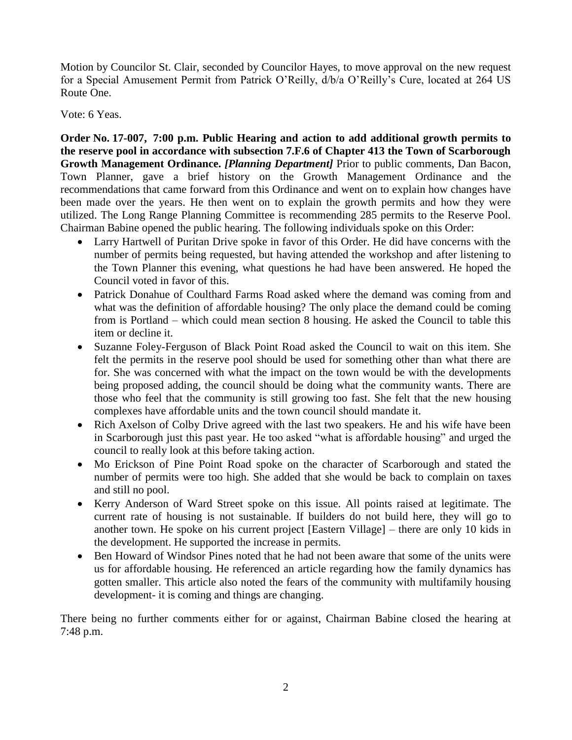Motion by Councilor St. Clair, seconded by Councilor Hayes, to move approval on the new request for a Special Amusement Permit from Patrick O'Reilly, d/b/a O'Reilly's Cure, located at 264 US Route One.

Vote: 6 Yeas.

**Order No. 17-007, 7:00 p.m. Public Hearing and action to add additional growth permits to the reserve pool in accordance with subsection 7.F.6 of Chapter 413 the Town of Scarborough Growth Management Ordinance.** *[Planning Department]* Prior to public comments, Dan Bacon, Town Planner, gave a brief history on the Growth Management Ordinance and the recommendations that came forward from this Ordinance and went on to explain how changes have been made over the years. He then went on to explain the growth permits and how they were utilized. The Long Range Planning Committee is recommending 285 permits to the Reserve Pool. Chairman Babine opened the public hearing. The following individuals spoke on this Order:

- Larry Hartwell of Puritan Drive spoke in favor of this Order. He did have concerns with the number of permits being requested, but having attended the workshop and after listening to the Town Planner this evening, what questions he had have been answered. He hoped the Council voted in favor of this.
- Patrick Donahue of Coulthard Farms Road asked where the demand was coming from and what was the definition of affordable housing? The only place the demand could be coming from is Portland – which could mean section 8 housing. He asked the Council to table this item or decline it.
- Suzanne Foley-Ferguson of Black Point Road asked the Council to wait on this item. She felt the permits in the reserve pool should be used for something other than what there are for. She was concerned with what the impact on the town would be with the developments being proposed adding, the council should be doing what the community wants. There are those who feel that the community is still growing too fast. She felt that the new housing complexes have affordable units and the town council should mandate it.
- Rich Axelson of Colby Drive agreed with the last two speakers. He and his wife have been in Scarborough just this past year. He too asked "what is affordable housing" and urged the council to really look at this before taking action.
- Mo Erickson of Pine Point Road spoke on the character of Scarborough and stated the number of permits were too high. She added that she would be back to complain on taxes and still no pool.
- Kerry Anderson of Ward Street spoke on this issue. All points raised at legitimate. The current rate of housing is not sustainable. If builders do not build here, they will go to another town. He spoke on his current project [Eastern Village] – there are only 10 kids in the development. He supported the increase in permits.
- Ben Howard of Windsor Pines noted that he had not been aware that some of the units were us for affordable housing. He referenced an article regarding how the family dynamics has gotten smaller. This article also noted the fears of the community with multifamily housing development- it is coming and things are changing.

There being no further comments either for or against, Chairman Babine closed the hearing at 7:48 p.m.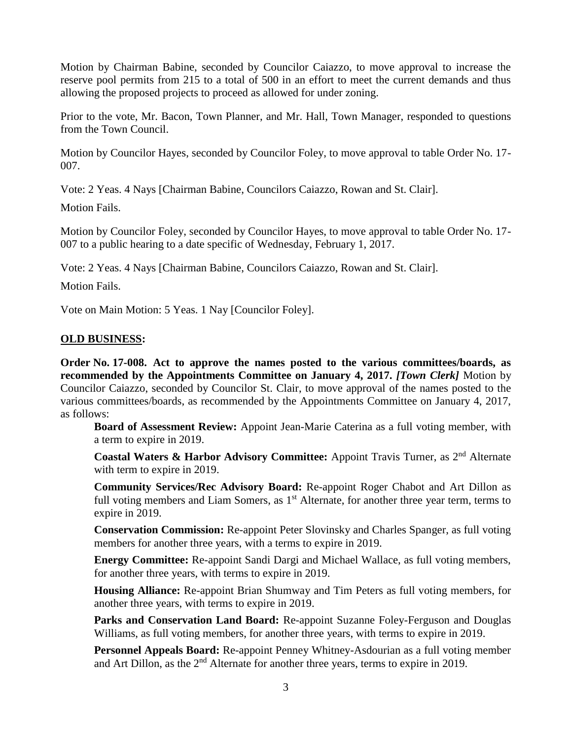Motion by Chairman Babine, seconded by Councilor Caiazzo, to move approval to increase the reserve pool permits from 215 to a total of 500 in an effort to meet the current demands and thus allowing the proposed projects to proceed as allowed for under zoning.

Prior to the vote, Mr. Bacon, Town Planner, and Mr. Hall, Town Manager, responded to questions from the Town Council.

Motion by Councilor Hayes, seconded by Councilor Foley, to move approval to table Order No. 17- 007.

Vote: 2 Yeas. 4 Nays [Chairman Babine, Councilors Caiazzo, Rowan and St. Clair].

Motion Fails.

Motion by Councilor Foley, seconded by Councilor Hayes, to move approval to table Order No. 17- 007 to a public hearing to a date specific of Wednesday, February 1, 2017.

Vote: 2 Yeas. 4 Nays [Chairman Babine, Councilors Caiazzo, Rowan and St. Clair].

Motion Fails.

Vote on Main Motion: 5 Yeas. 1 Nay [Councilor Foley].

# **OLD BUSINESS:**

**Order No. 17-008. Act to approve the names posted to the various committees/boards, as recommended by the Appointments Committee on January 4, 2017.** *[Town Clerk]* Motion by Councilor Caiazzo, seconded by Councilor St. Clair, to move approval of the names posted to the various committees/boards, as recommended by the Appointments Committee on January 4, 2017, as follows:

**Board of Assessment Review:** Appoint Jean-Marie Caterina as a full voting member, with a term to expire in 2019.

**Coastal Waters & Harbor Advisory Committee:** Appoint Travis Turner, as 2nd Alternate with term to expire in 2019.

**Community Services/Rec Advisory Board:** Re-appoint Roger Chabot and Art Dillon as full voting members and Liam Somers, as  $1<sup>st</sup>$  Alternate, for another three year term, terms to expire in 2019.

**Conservation Commission:** Re-appoint Peter Slovinsky and Charles Spanger, as full voting members for another three years, with a terms to expire in 2019.

**Energy Committee:** Re-appoint Sandi Dargi and Michael Wallace, as full voting members, for another three years, with terms to expire in 2019.

**Housing Alliance:** Re-appoint Brian Shumway and Tim Peters as full voting members, for another three years, with terms to expire in 2019.

**Parks and Conservation Land Board:** Re-appoint Suzanne Foley-Ferguson and Douglas Williams, as full voting members, for another three years, with terms to expire in 2019.

**Personnel Appeals Board:** Re-appoint Penney Whitney-Asdourian as a full voting member and Art Dillon, as the  $2<sup>nd</sup>$  Alternate for another three years, terms to expire in 2019.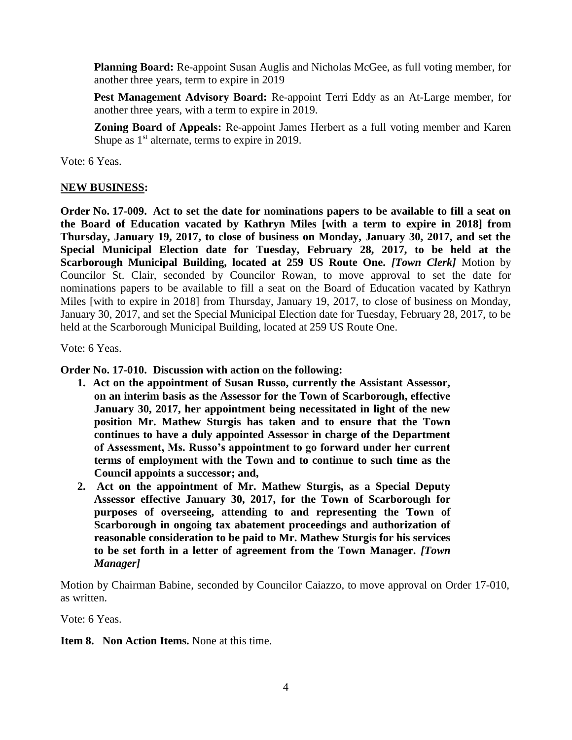**Planning Board:** Re-appoint Susan Auglis and Nicholas McGee, as full voting member, for another three years, term to expire in 2019

**Pest Management Advisory Board:** Re-appoint Terri Eddy as an At-Large member, for another three years, with a term to expire in 2019.

**Zoning Board of Appeals:** Re-appoint James Herbert as a full voting member and Karen Shupe as  $1<sup>st</sup>$  alternate, terms to expire in 2019.

Vote: 6 Yeas.

### **NEW BUSINESS:**

**Order No. 17-009. Act to set the date for nominations papers to be available to fill a seat on the Board of Education vacated by Kathryn Miles [with a term to expire in 2018] from Thursday, January 19, 2017, to close of business on Monday, January 30, 2017, and set the Special Municipal Election date for Tuesday, February 28, 2017, to be held at the Scarborough Municipal Building, located at 259 US Route One.** *[Town Clerk]* **Motion by** Councilor St. Clair, seconded by Councilor Rowan, to move approval to set the date for nominations papers to be available to fill a seat on the Board of Education vacated by Kathryn Miles [with to expire in 2018] from Thursday, January 19, 2017, to close of business on Monday, January 30, 2017, and set the Special Municipal Election date for Tuesday, February 28, 2017, to be held at the Scarborough Municipal Building, located at 259 US Route One.

Vote: 6 Yeas.

**Order No. 17-010. Discussion with action on the following:**

- **1. Act on the appointment of Susan Russo, currently the Assistant Assessor, on an interim basis as the Assessor for the Town of Scarborough, effective January 30, 2017, her appointment being necessitated in light of the new position Mr. Mathew Sturgis has taken and to ensure that the Town continues to have a duly appointed Assessor in charge of the Department of Assessment, Ms. Russo's appointment to go forward under her current terms of employment with the Town and to continue to such time as the Council appoints a successor; and,**
- **2. Act on the appointment of Mr. Mathew Sturgis, as a Special Deputy Assessor effective January 30, 2017, for the Town of Scarborough for purposes of overseeing, attending to and representing the Town of Scarborough in ongoing tax abatement proceedings and authorization of reasonable consideration to be paid to Mr. Mathew Sturgis for his services to be set forth in a letter of agreement from the Town Manager.** *[Town Manager]*

Motion by Chairman Babine, seconded by Councilor Caiazzo, to move approval on Order 17-010, as written.

Vote: 6 Yeas.

**Item 8. Non Action Items.** None at this time.